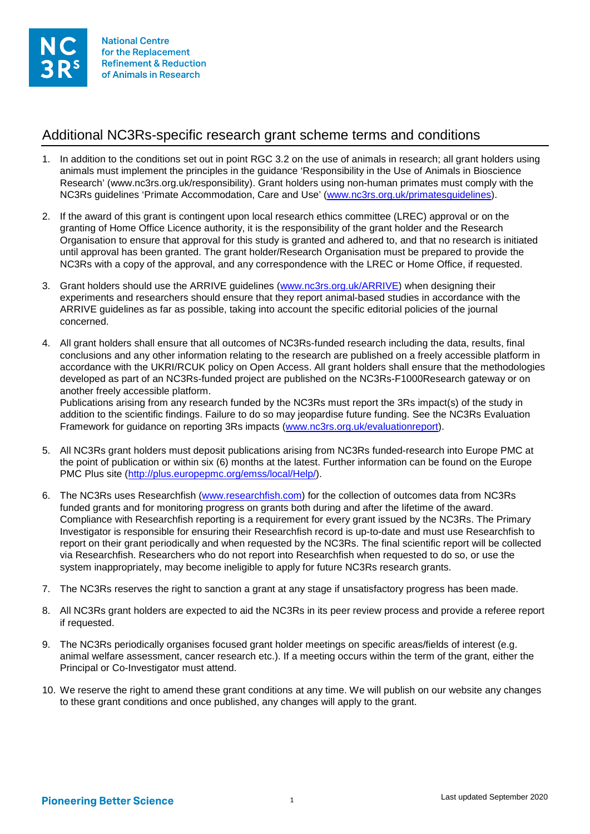

## Additional NC3Rs-specific research grant scheme terms and conditions

- 1. In addition to the conditions set out in point RGC 3.2 on the use of animals in research; all grant holders using animals must implement the principles in the guidance 'Responsibility in the Use of Animals in Bioscience Research' (www.nc3rs.org.uk/responsibility). Grant holders using non-human primates must comply with the NC3Rs guidelines 'Primate Accommodation, Care and Use' [\(www.nc3rs.org.uk/primatesguidelines\)](http://www.nc3rs.org.uk/primatesguidelines).
- 2. If the award of this grant is contingent upon local research ethics committee (LREC) approval or on the granting of Home Office Licence authority, it is the responsibility of the grant holder and the Research Organisation to ensure that approval for this study is granted and adhered to, and that no research is initiated until approval has been granted. The grant holder/Research Organisation must be prepared to provide the NC3Rs with a copy of the approval, and any correspondence with the LREC or Home Office, if requested.
- 3. Grant holders should use the ARRIVE guidelines [\(www.nc3rs.org.uk/ARRIVE\)](http://www.nc3rs.org.uk/ARRIVE) when designing their experiments and researchers should ensure that they report animal-based studies in accordance with the ARRIVE guidelines as far as possible, taking into account the specific editorial policies of the journal concerned.
- 4. All grant holders shall ensure that all outcomes of NC3Rs-funded research including the data, results, final conclusions and any other information relating to the research are published on a freely accessible platform in accordance with the UKRI/RCUK policy on Open Access. All grant holders shall ensure that the methodologies developed as part of an NC3Rs-funded project are published on the NC3Rs-F1000Research gateway or on another freely accessible platform.

Publications arising from any research funded by the NC3Rs must report the 3Rs impact(s) of the study in addition to the scientific findings. Failure to do so may jeopardise future funding. See the NC3Rs Evaluation Framework for guidance on reporting 3Rs impacts [\(www.nc3rs.org.uk/evaluationreport\)](http://www.nc3rs.org.uk/evaluationreport).

- 5. All NC3Rs grant holders must deposit publications arising from NC3Rs funded-research into Europe PMC at the point of publication or within six (6) months at the latest. Further information can be found on the Europe PMC Plus site [\(http://plus.europepmc.org/emss/local/Help/\)](http://plus.europepmc.org/emss/local/Help/).
- 6. The NC3Rs uses Researchfish [\(www.researchfish.com\)](http://www.researchfish.com/) for the collection of outcomes data from NC3Rs funded grants and for monitoring progress on grants both during and after the lifetime of the award. Compliance with Researchfish reporting is a requirement for every grant issued by the NC3Rs. The Primary Investigator is responsible for ensuring their Researchfish record is up-to-date and must use Researchfish to report on their grant periodically and when requested by the NC3Rs. The final scientific report will be collected via Researchfish. Researchers who do not report into Researchfish when requested to do so, or use the system inappropriately, may become ineligible to apply for future NC3Rs research grants.
- 7. The NC3Rs reserves the right to sanction a grant at any stage if unsatisfactory progress has been made.
- 8. All NC3Rs grant holders are expected to aid the NC3Rs in its peer review process and provide a referee report if requested.
- 9. The NC3Rs periodically organises focused grant holder meetings on specific areas/fields of interest (e.g. animal welfare assessment, cancer research etc.). If a meeting occurs within the term of the grant, either the Principal or Co-Investigator must attend.
- 10. We reserve the right to amend these grant conditions at any time. We will publish on our website any changes to these grant conditions and once published, any changes will apply to the grant.